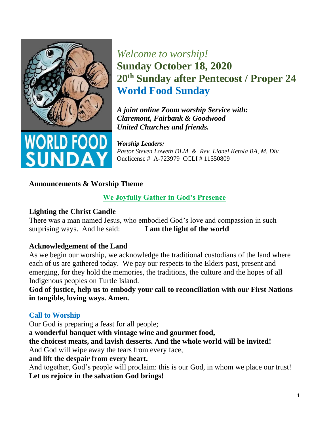

# *Welcome to worship!* **Sunday October 18, 2020 20th Sunday after Pentecost / Proper 24 World Food Sunday**

*A joint online Zoom worship Service with: Claremont, Fairbank & Goodwood United Churches and friends.* 

*Worship Leaders: Pastor Steven Loweth DLM & Rev. Lionel Ketola BA, M. Div.*  Onelicense # A-723979 CCLI # 11550809

### **Announcements & Worship Theme**

### **We Joyfully Gather in God's Presence**

### **Lighting the Christ Candle**

There was a man named Jesus, who embodied God's love and compassion in such surprising ways. And he said: **I am the light of the world** 

### **Acknowledgement of the Land**

As we begin our worship, we acknowledge the traditional custodians of the land where each of us are gathered today. We pay our respects to the Elders past, present and emerging, for they hold the memories, the traditions, the culture and the hopes of all Indigenous peoples on Turtle Island.

**God of justice, help us to embody your call to reconciliation with our First Nations in tangible, loving ways. Amen.** 

### **Call to Worship**

Our God is preparing a feast for all people; **a wonderful banquet with vintage wine and gourmet food, the choicest meats, and lavish desserts. And the whole world will be invited!** And God will wipe away the tears from every face, **and lift the despair from every heart.**  And together, God's people will proclaim: this is our God, in whom we place our trust! **Let us rejoice in the salvation God brings!**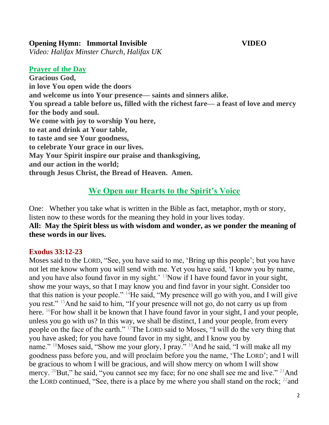#### **Opening Hymn: Immortal Invisible VIDEO**

*Video: Halifax Minster Church, Halifax UK* 

#### **Prayer of the Day**

**Gracious God, in love You open wide the doors and welcome us into Your presence— saints and sinners alike. You spread a table before us, filled with the richest fare— a feast of love and mercy for the body and soul. We come with joy to worship You here, to eat and drink at Your table, to taste and see Your goodness, to celebrate Your grace in our lives. May Your Spirit inspire our praise and thanksgiving, and our action in the world; through Jesus Christ, the Bread of Heaven. Amen.** 

## **We Open our Hearts to the Spirit's Voice**

One: Whether you take what is written in the Bible as fact, metaphor, myth or story, listen now to these words for the meaning they hold in your lives today.

**All: May the Spirit bless us with wisdom and wonder, as we ponder the meaning of these words in our lives.**

### **Exodus 33:12-23**

Moses said to the LORD, "See, you have said to me, 'Bring up this people'; but you have not let me know whom you will send with me. Yet you have said, 'I know you by name, and you have also found favor in my sight.' <sup>13</sup>Now if I have found favor in your sight, show me your ways, so that I may know you and find favor in your sight. Consider too that this nation is your people."  $^{14}$ He said, "My presence will go with you, and I will give you rest." <sup>15</sup>And he said to him, "If your presence will not go, do not carry us up from here. <sup>16</sup>For how shall it be known that I have found favor in your sight, I and your people, unless you go with us? In this way, we shall be distinct, I and your people, from every people on the face of the earth." <sup>17</sup>The LORD said to Moses, "I will do the very thing that you have asked; for you have found favor in my sight, and I know you by name." <sup>18</sup>Moses said, "Show me your glory, I pray." <sup>19</sup>And he said, "I will make all my goodness pass before you, and will proclaim before you the name, 'The LORD'; and I will be gracious to whom I will be gracious, and will show mercy on whom I will show mercy. <sup>20</sup>But," he said, "you cannot see my face; for no one shall see me and live." <sup>21</sup>And the LORD continued, "See, there is a place by me where you shall stand on the rock;  $^{22}$  and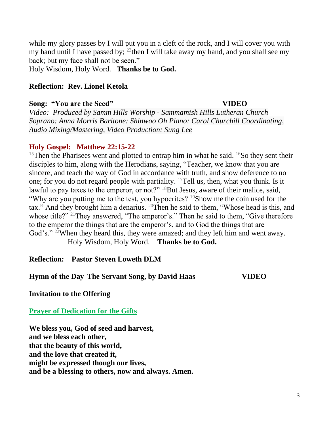while my glory passes by I will put you in a cleft of the rock, and I will cover you with my hand until I have passed by;  $^{23}$  then I will take away my hand, and you shall see my back; but my face shall not be seen."

Holy Wisdom, Holy Word. **Thanks be to God.** 

#### **Reflection: Rev. Lionel Ketola**

#### **Song: "You are the Seed" VIDEO**

*Video:**Produced by Samm Hills Worship - Sammamish Hills Lutheran Church Soprano: Anna Morris Baritone: Shinwoo Oh Piano: Carol Churchill Coordinating, Audio Mixing/Mastering, Video Production: Sung Lee*

#### **Holy Gospel: Matthew 22:15-22**

<sup>15</sup>Then the Pharisees went and plotted to entrap him in what he said. <sup>16</sup>So they sent their disciples to him, along with the Herodians, saying, "Teacher, we know that you are sincere, and teach the way of God in accordance with truth, and show deference to no one; for you do not regard people with partiality.  $17$ Tell us, then, what you think. Is it lawful to pay taxes to the emperor, or not?" <sup>18</sup>But Jesus, aware of their malice, said, "Why are you putting me to the test, you hypocrites?  $19$ Show me the coin used for the tax." And they brought him a denarius. <sup>20</sup>Then he said to them, "Whose head is this, and whose title?" <sup>21</sup>They answered, "The emperor's." Then he said to them, "Give therefore to the emperor the things that are the emperor's, and to God the things that are God's." <sup>22</sup>When they heard this, they were amazed; and they left him and went away. Holy Wisdom, Holy Word. **Thanks be to God.**

**Reflection: Pastor Steven Loweth DLM** 

**Hymn of the Day The Servant Song, by David Haas VIDEO**

**Invitation to the Offering** 

**Prayer of Dedication for the Gifts**

**We bless you, God of seed and harvest, and we bless each other, that the beauty of this world, and the love that created it, might be expressed though our lives, and be a blessing to others, now and always. Amen.**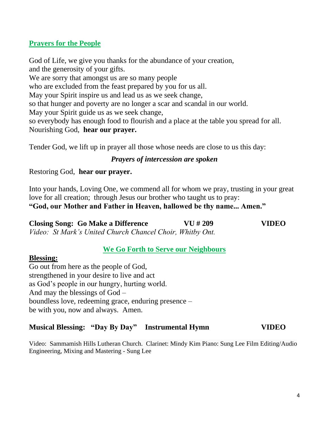### **Prayers for the People**

God of Life, we give you thanks for the abundance of your creation, and the generosity of your gifts. We are sorry that amongst us are so many people who are excluded from the feast prepared by you for us all. May your Spirit inspire us and lead us as we seek change, so that hunger and poverty are no longer a scar and scandal in our world. May your Spirit guide us as we seek change, so everybody has enough food to flourish and a place at the table you spread for all. Nourishing God, **hear our prayer.** 

Tender God, we lift up in prayer all those whose needs are close to us this day:

#### *Prayers of intercession are spoken*

Restoring God, **hear our prayer.**

Into your hands, Loving One, we commend all for whom we pray, trusting in your great love for all creation; through Jesus our brother who taught us to pray: **"God, our Mother and Father in Heaven, hallowed be thy name... Amen."** 

**Closing Song: Go Make a Difference VU # 209 VIDEO**  *Video: St Mark's United Church Chancel Choir, Whitby Ont.* 

#### **We Go Forth to Serve our Neighbours**

#### **Blessing:**

Go out from here as the people of God, strengthened in your desire to live and act as God's people in our hungry, hurting world. And may the blessings of God – boundless love, redeeming grace, enduring presence – be with you, now and always. Amen.

#### **Musical Blessing: "Day By Day" Instrumental Hymn VIDEO**

Video: Sammamish Hills Lutheran Church. Clarinet: Mindy Kim Piano: Sung Lee Film Editing/Audio Engineering, Mixing and Mastering - Sung Lee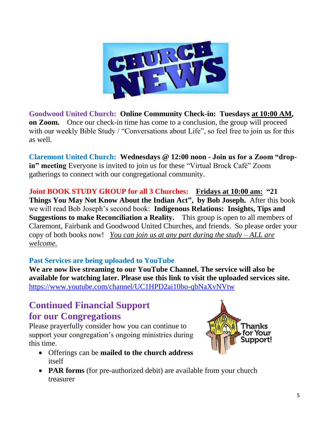

**Goodwood United Church: Online Community Check-in: Tuesdays at 10:00 AM, on Zoom.** Once our check-in time has come to a conclusion, the group will proceed with our weekly Bible Study / "Conversations about Life", so feel free to join us for this as well.

**Claremont United Church: Wednesdays @ 12:00 noon - Join us for a Zoom "dropin" meeting** Everyone is invited to join us for these "Virtual Brock Café" Zoom gatherings to connect with our congregational community.

**Joint BOOK STUDY GROUP for all 3 Churches: Fridays at 10:00 am: "21 Things You May Not Know About the Indian Act" , by Bob Joseph.** After this book we will read Bob Joseph's second book: **Indigenous Relations: Insights, Tips and Suggestions to make Reconciliation a Reality.** This group is open to all members of Claremont, Fairbank and Goodwood United Churches, and friends. So please order your copy of both books now! *You can join us at any part during the study – ALL are welcome.* 

### **Past Services are being uploaded to YouTube**

**We are now live streaming to our YouTube Channel. The service will also be available for watching later. Please use this link to visit the uploaded services site.**  [https://www.youtube.com/channel/UC1HPD2ai10bo-qbNaXvNVtw](about:blank)

# **Continued Financial Support for our Congregations**

Please prayerfully consider how you can continue to support your congregation's ongoing ministries during this time.

- Offerings can be **mailed to the church address** itself
- **PAR forms** (for pre-authorized debit) are available from your church treasurer